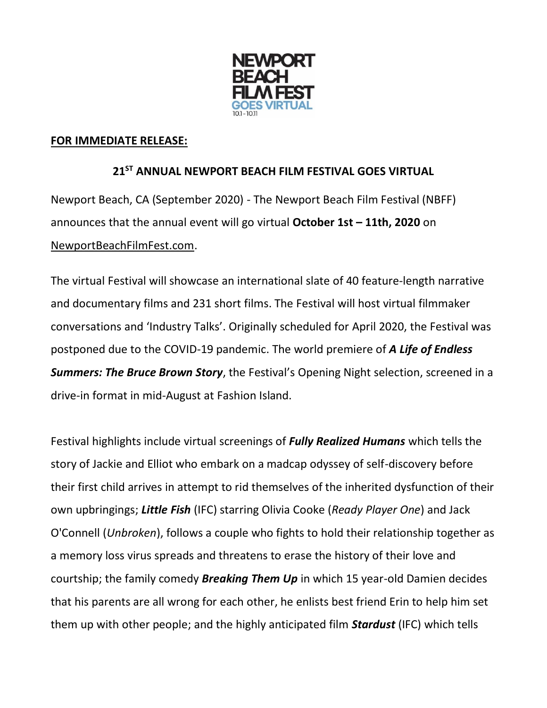

## **FOR IMMEDIATE RELEASE:**

## **21ST ANNUAL NEWPORT BEACH FILM FESTIVAL GOES VIRTUAL**

Newport Beach, CA (September 2020) - The Newport Beach Film Festival (NBFF) announces that the annual event will go virtual **October 1st – 11th, 2020** on [NewportBeachFilmFest.com.](http://newportbeachfilmfest.com/)

The virtual Festival will showcase an international slate of 40 feature-length narrative and documentary films and 231 short films. The Festival will host virtual filmmaker conversations and 'Industry Talks'. Originally scheduled for April 2020, the Festival was postponed due to the COVID-19 pandemic. The world premiere of *A Life of Endless Summers: The Bruce Brown Story*, the Festival's Opening Night selection, screened in a drive-in format in mid-August at Fashion Island.

Festival highlights include virtual screenings of *Fully Realized Humans* which tells the story of Jackie and Elliot who embark on a madcap odyssey of self-discovery before their first child arrives in attempt to rid themselves of the inherited dysfunction of their own upbringings; *Little Fish* (IFC) starring Olivia Cooke (*Ready Player One*) and Jack O'Connell (*Unbroken*), follows a couple who fights to hold their relationship together as a memory loss virus spreads and threatens to erase the history of their love and courtship; the family comedy *Breaking Them Up* in which 15 year-old Damien decides that his parents are all wrong for each other, he enlists best friend Erin to help him set them up with other people; and the highly anticipated film *Stardust* (IFC) which tells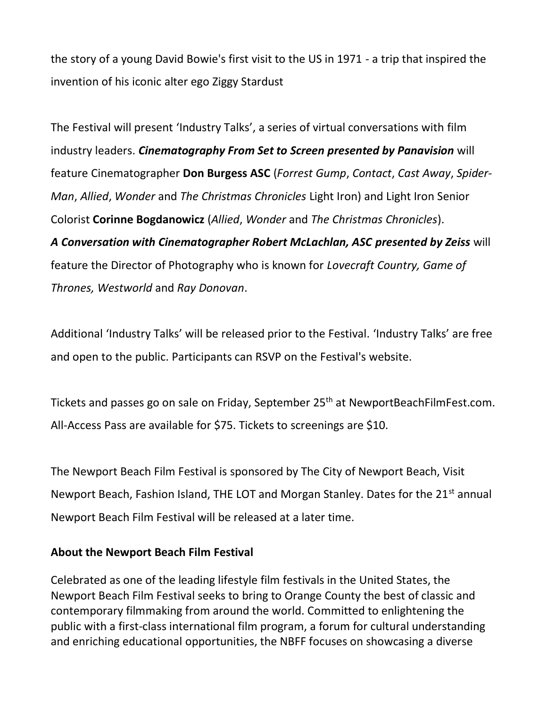the story of a young David Bowie's first visit to the US in 1971 - a trip that inspired the invention of his iconic alter ego Ziggy Stardust

The Festival will present 'Industry Talks', a series of virtual conversations with film industry leaders. *Cinematography From Set to Screen presented by Panavision* will feature Cinematographer **Don Burgess ASC** (*Forrest Gump*, *Contact*, *Cast Away*, *Spider-Man*, *Allied*, *Wonder* and *The Christmas Chronicles* Light Iron) and Light Iron Senior Colorist **Corinne Bogdanowicz** (*Allied*, *Wonder* and *The Christmas Chronicles*). *A Conversation with Cinematographer Robert McLachlan, ASC presented by Zeiss* will feature the Director of Photography who is known for *Lovecraft Country, Game of Thrones, Westworld* and *Ray Donovan*.

Additional 'Industry Talks' will be released prior to the Festival. 'Industry Talks' are free and open to the public. Participants can RSVP on the Festival's website.

Tickets and passes go on sale on Friday, September 25<sup>th</sup> at NewportBeachFilmFest.com. All-Access Pass are available for \$75. Tickets to screenings are \$10.

The Newport Beach Film Festival is sponsored by The City of Newport Beach, Visit Newport Beach, Fashion Island, THE LOT and Morgan Stanley. Dates for the 21<sup>st</sup> annual Newport Beach Film Festival will be released at a later time.

## **About the Newport Beach Film Festival**

Celebrated as one of the leading lifestyle film festivals in the United States, the Newport Beach Film Festival seeks to bring to Orange County the best of classic and contemporary filmmaking from around the world. Committed to enlightening the public with a first-class international film program, a forum for cultural understanding and enriching educational opportunities, the NBFF focuses on showcasing a diverse